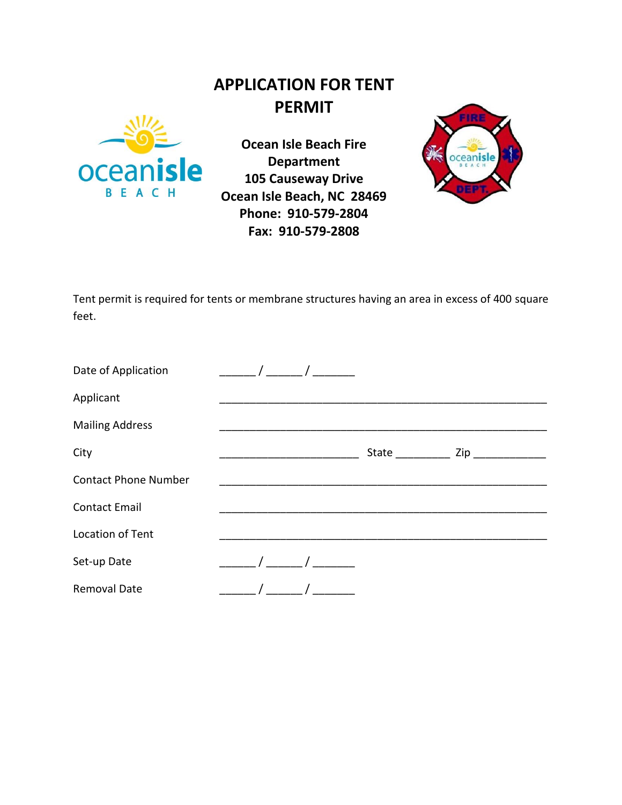## **APPLICATION FOR TENT PERMIT**



**Ocean Isle Beach Fire Department 105 Causeway Drive Ocean Isle Beach, NC 28469 Phone: 910-579-2804 Fax: 910-579-2808**



Tent permit is required for tents or membrane structures having an area in excess of 400 square feet.

| Date of Application         |  |       |                |  |
|-----------------------------|--|-------|----------------|--|
| Applicant                   |  |       |                |  |
| <b>Mailing Address</b>      |  |       |                |  |
| City                        |  | State | Zip __________ |  |
| <b>Contact Phone Number</b> |  |       |                |  |
| <b>Contact Email</b>        |  |       |                |  |
| Location of Tent            |  |       |                |  |
| Set-up Date                 |  |       |                |  |
| <b>Removal Date</b>         |  |       |                |  |